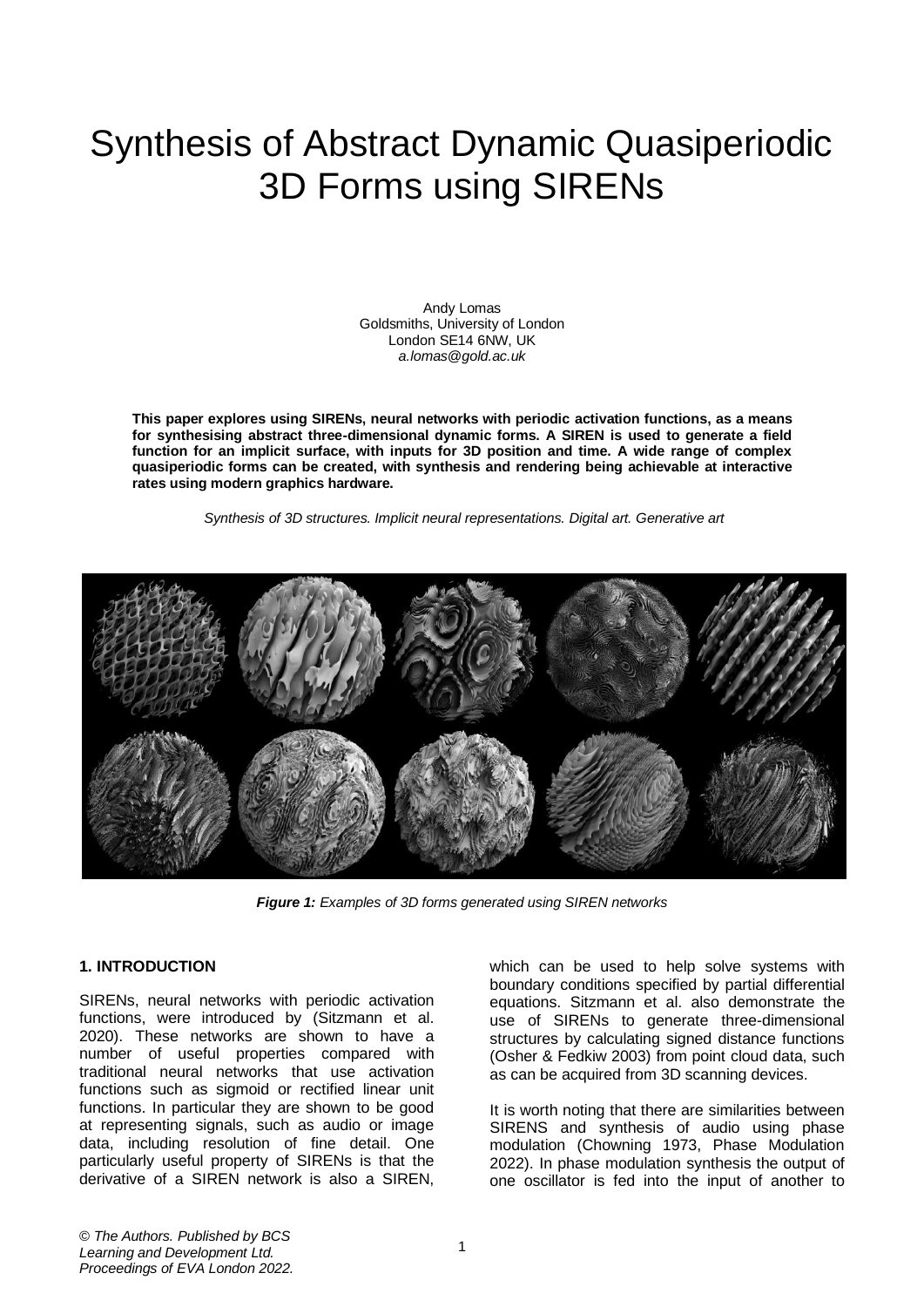# Synthesis of Abstract Dynamic Quasiperiodic 3D Forms using SIRENs

Andy Lomas Goldsmiths, University of London London SE14 6NW, UK *a.lomas@gold.ac.uk*

**This paper explores using SIRENs, neural networks with periodic activation functions, as a means for synthesising abstract three-dimensional dynamic forms. A SIREN is used to generate a field function for an implicit surface, with inputs for 3D position and time. A wide range of complex quasiperiodic forms can be created, with synthesis and rendering being achievable at interactive rates using modern graphics hardware.**

*Synthesis of 3D structures. Implicit neural representations. Digital art. Generative art*



*Figure 1: Examples of 3D forms generated using SIREN networks*

#### **1. INTRODUCTION**

SIRENs, neural networks with periodic activation functions, were introduced by (Sitzmann et al. 2020). These networks are shown to have a number of useful properties compared with traditional neural networks that use activation functions such as sigmoid or rectified linear unit functions. In particular they are shown to be good at representing signals, such as audio or image data, including resolution of fine detail. One particularly useful property of SIRENs is that the derivative of a SIREN network is also a SIREN,

which can be used to help solve systems with boundary conditions specified by partial differential equations. Sitzmann et al. also demonstrate the use of SIRENs to generate three-dimensional structures by calculating signed distance functions (Osher & Fedkiw 2003) from point cloud data, such as can be acquired from 3D scanning devices.

It is worth noting that there are similarities between SIRENS and synthesis of audio using phase modulation (Chowning 1973, Phase Modulation 2022). In phase modulation synthesis the output of one oscillator is fed into the input of another to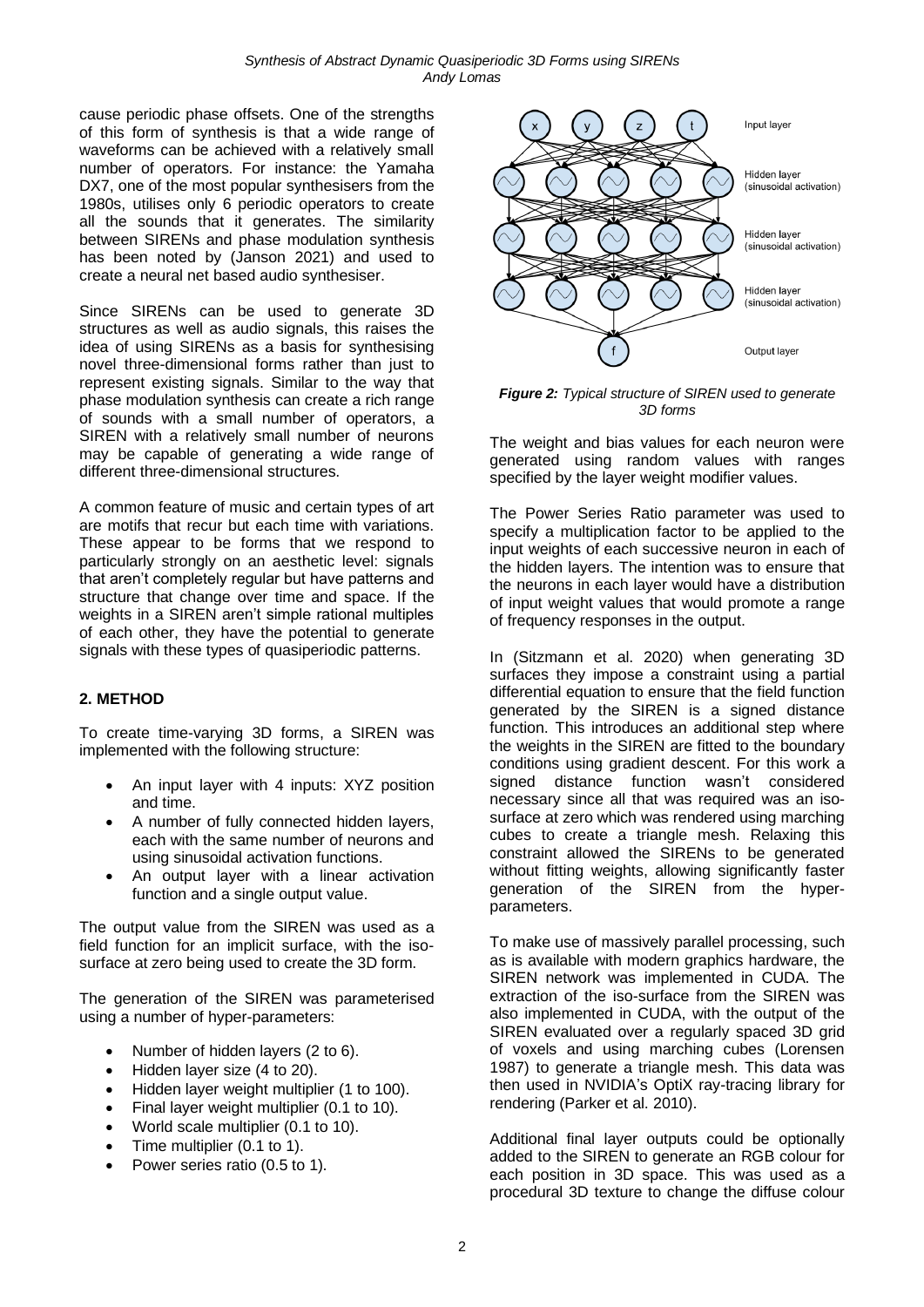cause periodic phase offsets. One of the strengths of this form of synthesis is that a wide range of waveforms can be achieved with a relatively small number of operators. For instance: the Yamaha DX7, one of the most popular synthesisers from the 1980s, utilises only 6 periodic operators to create all the sounds that it generates. The similarity between SIRENs and phase modulation synthesis has been noted by (Janson 2021) and used to create a neural net based audio synthesiser.

Since SIRENs can be used to generate 3D structures as well as audio signals, this raises the idea of using SIRENs as a basis for synthesising novel three-dimensional forms rather than just to represent existing signals. Similar to the way that phase modulation synthesis can create a rich range of sounds with a small number of operators, a SIREN with a relatively small number of neurons may be capable of generating a wide range of different three-dimensional structures.

A common feature of music and certain types of art are motifs that recur but each time with variations. These appear to be forms that we respond to particularly strongly on an aesthetic level: signals that aren't completely regular but have patterns and structure that change over time and space. If the weights in a SIREN aren't simple rational multiples of each other, they have the potential to generate signals with these types of quasiperiodic patterns.

# **2. METHOD**

To create time-varying 3D forms, a SIREN was implemented with the following structure:

- An input layer with 4 inputs: XYZ position and time.
- A number of fully connected hidden layers, each with the same number of neurons and using sinusoidal activation functions.
- An output layer with a linear activation function and a single output value.

The output value from the SIREN was used as a field function for an implicit surface, with the isosurface at zero being used to create the 3D form.

The generation of the SIREN was parameterised using a number of hyper-parameters:

- Number of hidden layers (2 to 6).
- Hidden layer size (4 to 20).
- Hidden layer weight multiplier (1 to 100).
- Final layer weight multiplier (0.1 to 10).
- World scale multiplier (0.1 to 10).
- Time multiplier (0.1 to 1).
- Power series ratio (0.5 to 1).



*Figure 2: Typical structure of SIREN used to generate 3D forms*

The weight and bias values for each neuron were generated using random values with ranges specified by the layer weight modifier values.

The Power Series Ratio parameter was used to specify a multiplication factor to be applied to the input weights of each successive neuron in each of the hidden layers. The intention was to ensure that the neurons in each layer would have a distribution of input weight values that would promote a range of frequency responses in the output.

In (Sitzmann et al. 2020) when generating 3D surfaces they impose a constraint using a partial differential equation to ensure that the field function generated by the SIREN is a signed distance function. This introduces an additional step where the weights in the SIREN are fitted to the boundary conditions using gradient descent. For this work a signed distance function wasn't considered necessary since all that was required was an isosurface at zero which was rendered using marching cubes to create a triangle mesh. Relaxing this constraint allowed the SIRENs to be generated without fitting weights, allowing significantly faster generation of the SIREN from the hyperparameters.

To make use of massively parallel processing, such as is available with modern graphics hardware, the SIREN network was implemented in CUDA. The extraction of the iso-surface from the SIREN was also implemented in CUDA, with the output of the SIREN evaluated over a regularly spaced 3D grid of voxels and using marching cubes (Lorensen 1987) to generate a triangle mesh. This data was then used in NVIDIA's OptiX ray-tracing library for rendering (Parker et al. 2010).

Additional final layer outputs could be optionally added to the SIREN to generate an RGB colour for each position in 3D space. This was used as a procedural 3D texture to change the diffuse colour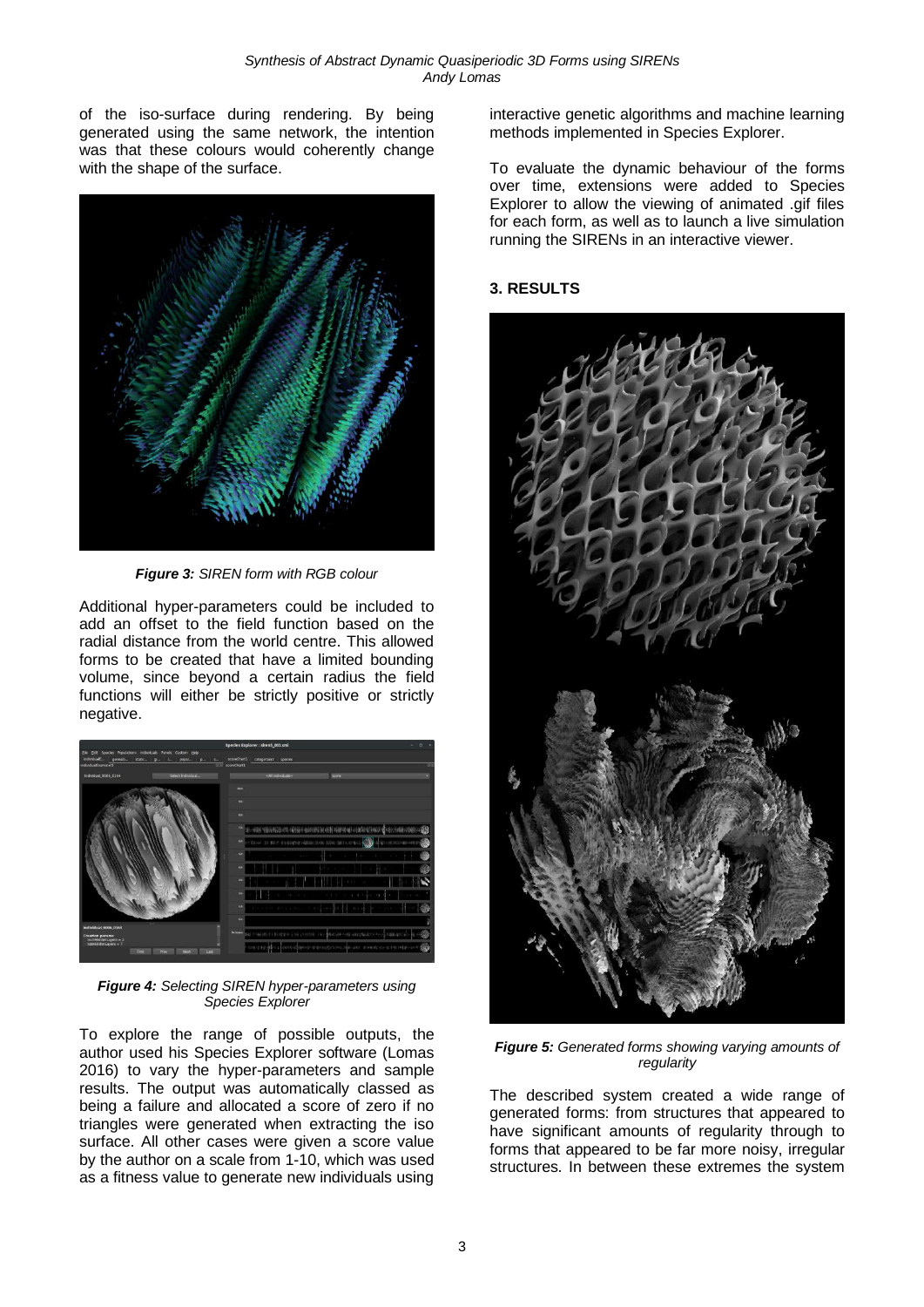of the iso-surface during rendering. By being generated using the same network, the intention was that these colours would coherently change with the shape of the surface.



*Figure 3: SIREN form with RGB colour*

Additional hyper-parameters could be included to add an offset to the field function based on the radial distance from the world centre. This allowed forms to be created that have a limited bounding volume, since beyond a certain radius the field functions will either be strictly positive or strictly negative.



*Figure 4: Selecting SIREN hyper-parameters using Species Explorer*

To explore the range of possible outputs, the author used his Species Explorer software (Lomas 2016) to vary the hyper-parameters and sample results. The output was automatically classed as being a failure and allocated a score of zero if no triangles were generated when extracting the iso surface. All other cases were given a score value by the author on a scale from 1-10, which was used as a fitness value to generate new individuals using

interactive genetic algorithms and machine learning methods implemented in Species Explorer.

To evaluate the dynamic behaviour of the forms over time, extensions were added to Species Explorer to allow the viewing of animated .gif files for each form, as well as to launch a live simulation running the SIRENs in an interactive viewer.

### **3. RESULTS**



*Figure 5: Generated forms showing varying amounts of regularity*

The described system created a wide range of generated forms: from structures that appeared to have significant amounts of regularity through to forms that appeared to be far more noisy, irregular structures. In between these extremes the system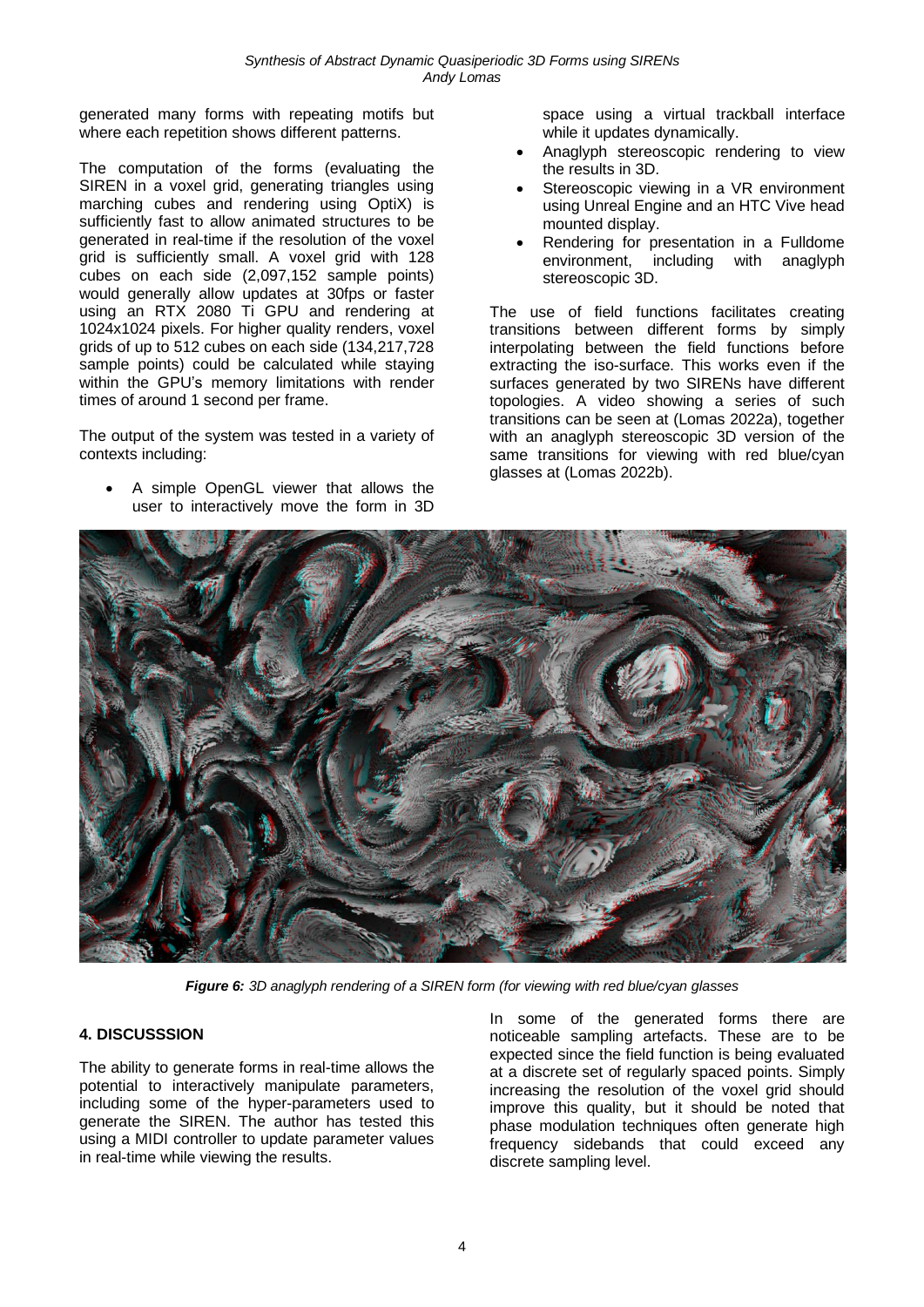generated many forms with repeating motifs but where each repetition shows different patterns.

The computation of the forms (evaluating the SIREN in a voxel grid, generating triangles using marching cubes and rendering using OptiX) is sufficiently fast to allow animated structures to be generated in real-time if the resolution of the voxel grid is sufficiently small. A voxel grid with 128 cubes on each side (2,097,152 sample points) would generally allow updates at 30fps or faster using an RTX 2080 Ti GPU and rendering at 1024x1024 pixels. For higher quality renders, voxel grids of up to 512 cubes on each side (134,217,728 sample points) could be calculated while staying within the GPU's memory limitations with render times of around 1 second per frame.

The output of the system was tested in a variety of contexts including:

• A simple OpenGL viewer that allows the user to interactively move the form in 3D space using a virtual trackball interface while it updates dynamically.

- Anaglyph stereoscopic rendering to view the results in 3D.
- Stereoscopic viewing in a VR environment using Unreal Engine and an HTC Vive head mounted display.
- Rendering for presentation in a Fulldome environment, including with anaglyph stereoscopic 3D.

The use of field functions facilitates creating transitions between different forms by simply interpolating between the field functions before extracting the iso-surface. This works even if the surfaces generated by two SIRENs have different topologies. A video showing a series of such transitions can be seen at (Lomas 2022a), together with an anaglyph stereoscopic 3D version of the same transitions for viewing with red blue/cyan glasses at (Lomas 2022b).



*Figure 6: 3D anaglyph rendering of a SIREN form (for viewing with red blue/cyan glasses*

#### **4. DISCUSSSION**

The ability to generate forms in real-time allows the potential to interactively manipulate parameters, including some of the hyper-parameters used to generate the SIREN. The author has tested this using a MIDI controller to update parameter values in real-time while viewing the results.

In some of the generated forms there are noticeable sampling artefacts. These are to be expected since the field function is being evaluated at a discrete set of regularly spaced points. Simply increasing the resolution of the voxel grid should improve this quality, but it should be noted that phase modulation techniques often generate high frequency sidebands that could exceed any discrete sampling level.